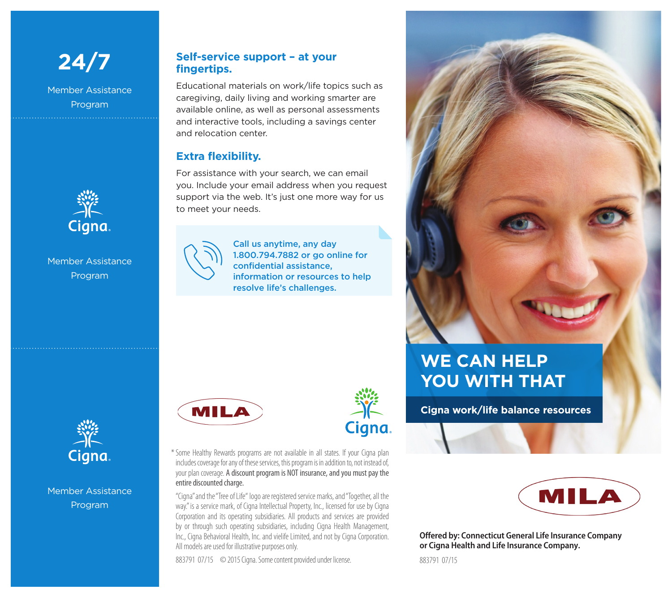

Member Assistance Program



#### Member Assistance Program

### **Self-service support – at your fingertips.**

Educational materials on work/life topics such as caregiving, daily living and working smarter are available online, as well as personal assessments and interactive tools, including a savings center and relocation center.

### **Extra flexibility.**

For assistance with your search, we can email you. Include your email address when you request support via the web. It's just one more way for us to meet your needs.



Call us anytime, any day 1.800.794.7882 or go online for confidential assistance, information or resources to help resolve life's challenges.

| <b>MIL</b> |  |
|------------|--|
|            |  |



\*Some Healthy Rewards programs are not available in all states. If your Cigna plan includes coverage for any of these services, this program is in addition to, not instead of, your plan coverage. A discount program is NOT insurance, and you must pay the entire discounted charge.

"Cigna" and the "Tree of Life" logo are registered service marks, and "Together, all the way." is a service mark, of Cigna Intellectual Property, Inc., licensed for use by Cigna Corporation and its operating subsidiaries. All products and services are provided by or through such operating subsidiaries, including Cigna Health Management, Inc., Cigna Behavioral Health, Inc. and vielife Limited, and not by Cigna Corporation. All models are used for illustrative purposes only.

883791 07/15 © 2015 Cigna. Some content provided under license. 883791 07/15

## **WE CAN HELP YOU WITH THAT**

**Cigna work/life balance resources**



**Offered by: Connecticut General Life Insurance Company or Cigna Health and Life Insurance Company.**



Member Assistance Program